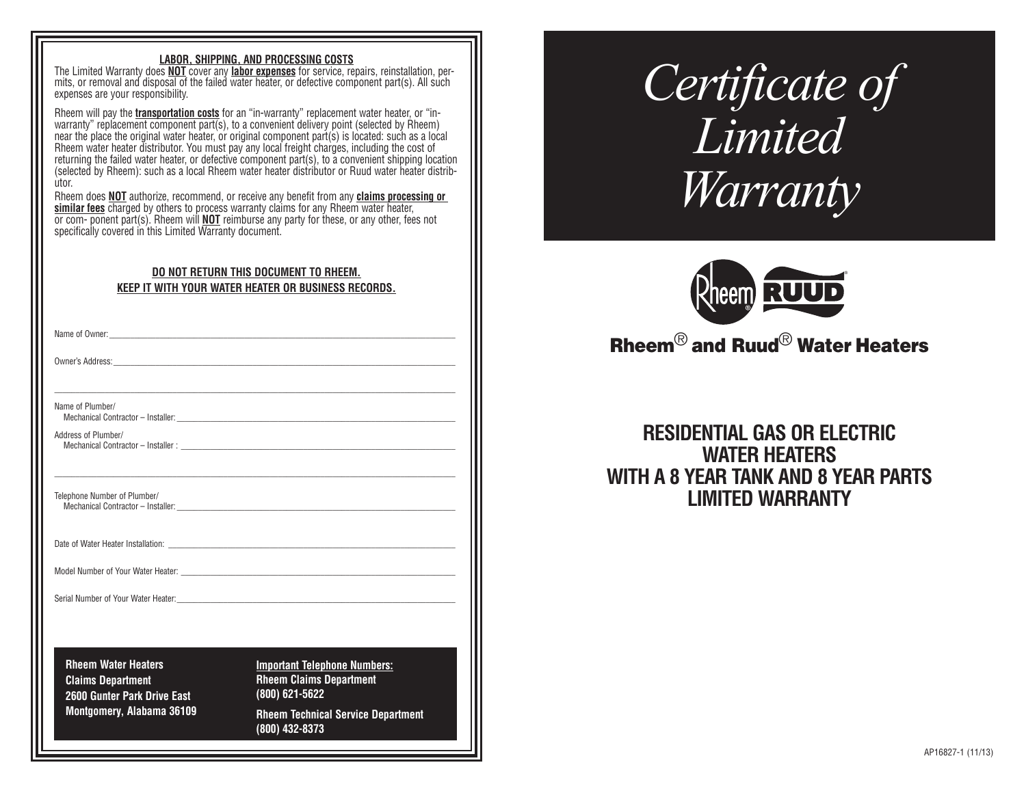#### **LABOR, SHIPPING, AND PROCESSING COSTS**

The Limited Warranty does **NOT** cover any **labor expenses** for service, repairs, reinstallation, per mits, or removal and disposal of the failed water heater, or defective component part(s). All such expenses are your responsibility.

Rheem will pay the **transportation costs** for an "in-warranty" replacement water heater, or "inwarranty" replacement component part(s), to a convenient delivery point (selected by Rheem) near the place the original water heater, or original component part(s) is located: such as a local Rheem water heater distributor. You must pay any local freight charges, including the cost of returning the failed water heater, or defective component part(s), to a convenient shipping location (selected by Rheem): such as a local Rheem water heater distributor or Ruud water heater distrib ùtor

Rheem does **NOT** authorize, recommend, or receive any benefit from any **claims processing or**  similar fees charged by others to process warranty claims for any Rheem water heater, or com- ponent part(s). Rheem will **NOT** reimburse any party for these, or any other, fees not specifically covered in this Limited Warranty document.

### **DO NOT RETURN THIS DOCUMENT TO RHEEM. KEEP IT WITH YOUR WATER HEATER OR BUSINESS RECORDS.**

\_\_\_\_\_\_\_\_\_\_\_\_\_\_\_\_\_\_\_\_\_\_\_\_\_\_\_\_\_\_\_\_\_\_\_\_\_\_\_\_\_\_\_\_\_\_\_\_\_\_\_\_\_\_\_\_\_\_\_\_\_\_\_\_\_\_\_\_\_\_\_\_\_\_\_\_\_\_\_\_\_\_\_\_\_\_\_\_\_\_\_\_\_\_\_

\_\_\_\_\_\_\_\_\_\_\_\_\_\_\_\_\_\_\_\_\_\_\_\_\_\_\_\_\_\_\_\_\_\_\_\_\_\_\_\_\_\_\_\_\_\_\_\_\_\_\_\_\_\_\_\_\_\_\_\_\_\_\_\_\_\_\_\_\_\_\_\_\_\_\_\_\_\_\_\_\_\_\_\_\_\_\_\_\_\_\_\_\_\_\_

Name of Owner:

Owner's Address:

Name of Plumber/

Mechanical Contractor - Installer:

Address of Plumber/ Mechanical Contractor – Installer :

Telephone Number of Plumber/ Mechanical Contractor – Installer:

Date of Water Heater Installation:

Model Number of Your Water Heater:

Serial Number of Your Water Heater:

**Rheem Water Heaters Claims Department 2600 Gunter Park Drive East Montgomery, Alabama 36109** **Important Telephone Numbers: Rheem Claims Department (800) 621-5622 Rheem Technical Service Department**

**(800) 432-8373** 

*Certificate of Limited Warranty*



# Rheem® and Ruud® Water Heaters

## **RESIDENTIAL GAS OR ELECTRIC WATER HEATERS WITH A 8 YEAR TANK AND 8 YEAR PARTS LIMITED WARRANTY**